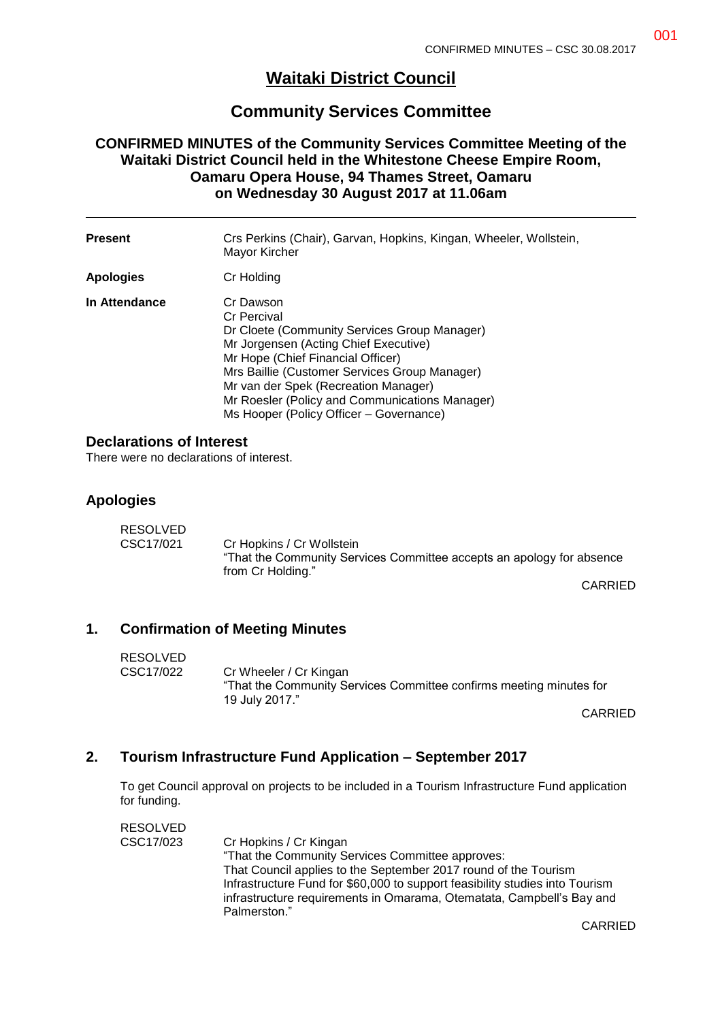# **Waitaki District Council**

# **Community Services Committee**

#### **CONFIRMED MINUTES of the Community Services Committee Meeting of the Waitaki District Council held in the Whitestone Cheese Empire Room, Oamaru Opera House, 94 Thames Street, Oamaru on Wednesday 30 August 2017 at 11.06am**

| <b>Present</b>   | Crs Perkins (Chair), Garvan, Hopkins, Kingan, Wheeler, Wollstein,<br>Mayor Kircher                                                                                                                                                                                                                                                                  |
|------------------|-----------------------------------------------------------------------------------------------------------------------------------------------------------------------------------------------------------------------------------------------------------------------------------------------------------------------------------------------------|
| <b>Apologies</b> | Cr Holding                                                                                                                                                                                                                                                                                                                                          |
| In Attendance    | Cr Dawson<br><b>Cr Percival</b><br>Dr Cloete (Community Services Group Manager)<br>Mr Jorgensen (Acting Chief Executive)<br>Mr Hope (Chief Financial Officer)<br>Mrs Baillie (Customer Services Group Manager)<br>Mr van der Spek (Recreation Manager)<br>Mr Roesler (Policy and Communications Manager)<br>Ms Hooper (Policy Officer – Governance) |

#### **Declarations of Interest**

There were no declarations of interest.

#### **Apologies**

| RESOLVED  |                                                                       |
|-----------|-----------------------------------------------------------------------|
| CSC17/021 | Cr Hopkins / Cr Wollstein                                             |
|           | "That the Community Services Committee accepts an apology for absence |
|           | from Cr Holding."                                                     |

CARRIED

#### **1. Confirmation of Meeting Minutes**

| <b>RESOLVED</b> |                                                                                                                 |
|-----------------|-----------------------------------------------------------------------------------------------------------------|
| CSC17/022       | Cr Wheeler / Cr Kingan<br>"That the Community Services Committee confirms meeting minutes for<br>19 July 2017." |
|                 |                                                                                                                 |

CARRIED

#### **2. Tourism Infrastructure Fund Application – September 2017**

To get Council approval on projects to be included in a Tourism Infrastructure Fund application for funding.

| <b>RESOLVED</b> |                                                                              |
|-----------------|------------------------------------------------------------------------------|
| CSC17/023       | Cr Hopkins / Cr Kingan                                                       |
|                 | "That the Community Services Committee approves:                             |
|                 | That Council applies to the September 2017 round of the Tourism              |
|                 | Infrastructure Fund for \$60,000 to support feasibility studies into Tourism |
|                 | infrastructure requirements in Omarama, Otematata, Campbell's Bay and        |
|                 | Palmerston."                                                                 |

CARRIED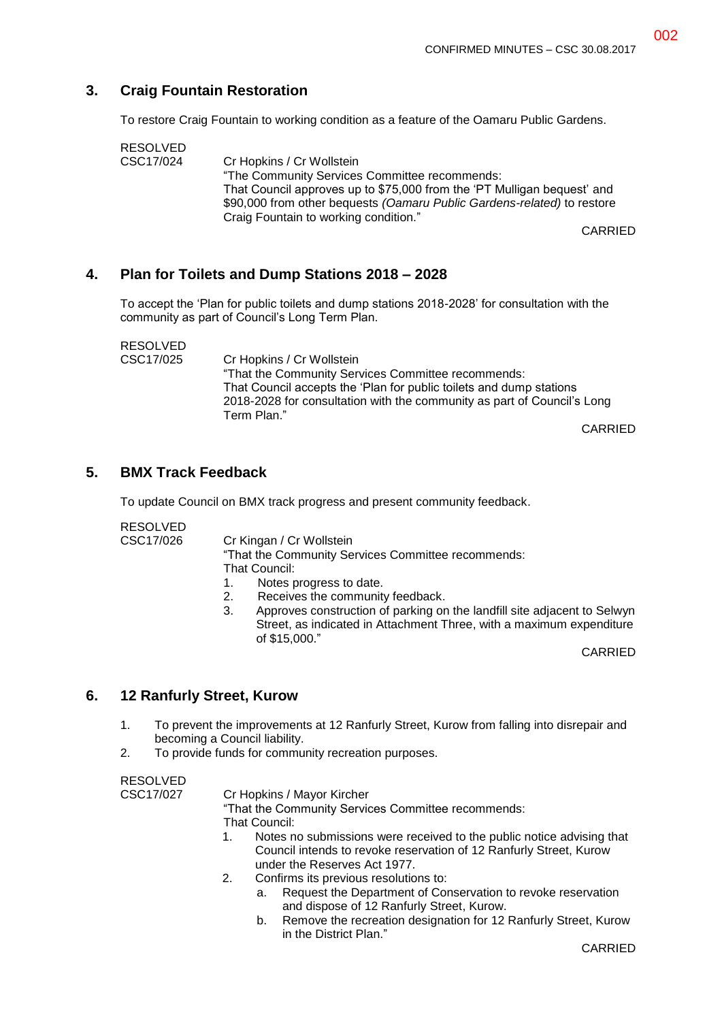## **3. Craig Fountain Restoration**

To restore Craig Fountain to working condition as a feature of the Oamaru Public Gardens.

| <b>RESOLVED</b> |                                                                         |
|-----------------|-------------------------------------------------------------------------|
| CSC17/024       | Cr Hopkins / Cr Wollstein                                               |
|                 | "The Community Services Committee recommends:                           |
|                 | That Council approves up to \$75,000 from the 'PT Mulligan bequest' and |
|                 | \$90,000 from other bequests (Oamaru Public Gardens-related) to restore |
|                 | Craig Fountain to working condition."                                   |
|                 | <b>CARRIED</b>                                                          |

## **4. Plan for Toilets and Dump Stations 2018 – 2028**

To accept the 'Plan for public toilets and dump stations 2018-2028' for consultation with the community as part of Council's Long Term Plan.

RESOLVED CSC17/025 Cr Hopkins / Cr Wollstein "That the Community Services Committee recommends: That Council accepts the 'Plan for public toilets and dump stations 2018-2028 for consultation with the community as part of Council's Long Term Plan."

CARRIED

### **5. BMX Track Feedback**

To update Council on BMX track progress and present community feedback.

| <b>RESOLVED</b> |                                                                         |  |
|-----------------|-------------------------------------------------------------------------|--|
| CSC17/026       | Cr Kingan / Cr Wollstein                                                |  |
|                 | "That the Community Services Committee recommends:                      |  |
|                 | That Council:                                                           |  |
|                 | $\overline{a}$ and $\overline{a}$ and $\overline{a}$ and $\overline{a}$ |  |

- 1. Notes progress to date.
- 2. Receives the community feedback.
- 3. Approves construction of parking on the landfill site adjacent to Selwyn Street, as indicated in Attachment Three, with a maximum expenditure of \$15,000."

CARRIED

#### **6. 12 Ranfurly Street, Kurow**

- 1. To prevent the improvements at 12 Ranfurly Street, Kurow from falling into disrepair and becoming a Council liability.
- 2. To provide funds for community recreation purposes.

RESOLVED

CSC17/027 Cr Hopkins / Mayor Kircher

"That the Community Services Committee recommends: That Council:

- 1. Notes no submissions were received to the public notice advising that Council intends to revoke reservation of 12 Ranfurly Street, Kurow under the Reserves Act 1977.
- 2. Confirms its previous resolutions to:
	- a. Request the Department of Conservation to revoke reservation and dispose of 12 Ranfurly Street, Kurow.
	- b. Remove the recreation designation for 12 Ranfurly Street, Kurow in the District Plan."

CARRIED